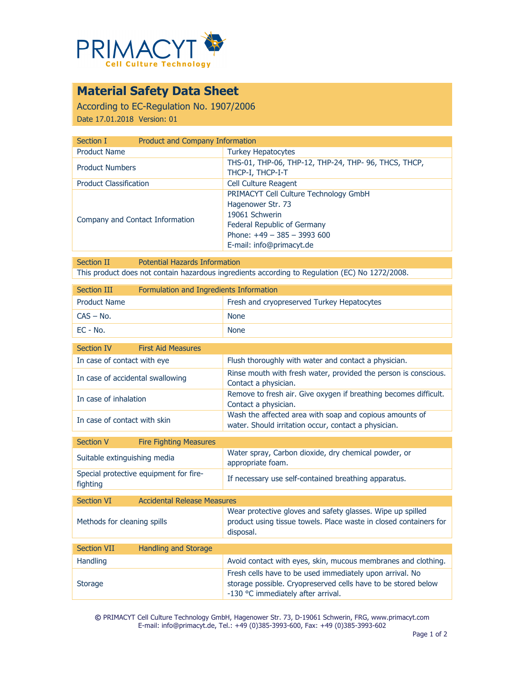

## **Material Safety Data Sheet**

According to EC-Regulation No. 1907/2006 Date 17.01.2018 Version: 01

| Section I                       | Product and Company Information                                                                                                                                                |  |
|---------------------------------|--------------------------------------------------------------------------------------------------------------------------------------------------------------------------------|--|
| <b>Product Name</b>             | <b>Turkey Hepatocytes</b>                                                                                                                                                      |  |
| <b>Product Numbers</b>          | THS-01, THP-06, THP-12, THP-24, THP-96, THCS, THCP,<br>THCP-I, THCP-I-T                                                                                                        |  |
| <b>Product Classification</b>   | <b>Cell Culture Reagent</b>                                                                                                                                                    |  |
| Company and Contact Information | <b>PRIMACYT Cell Culture Technology GmbH</b><br>Hagenower Str. 73<br>19061 Schwerin<br>Federal Republic of Germany<br>Phone: $+49 - 385 - 3993600$<br>E-mail: info@primacyt.de |  |

Section II Potential Hazards Information This product does not contain hazardous ingredients according to Regulation (EC) No 1272/2008.

| Section III         | Formulation and Ingredients Information |                                            |
|---------------------|-----------------------------------------|--------------------------------------------|
| <b>Product Name</b> |                                         | Fresh and cryopreserved Turkey Hepatocytes |
| $CAS - No.$         |                                         | <b>None</b>                                |
| $FC - No.$          |                                         | <b>None</b>                                |

| Section IV                       | <b>First Aid Measures</b> |                                                                                                                 |
|----------------------------------|---------------------------|-----------------------------------------------------------------------------------------------------------------|
| In case of contact with eye      |                           | Flush thoroughly with water and contact a physician.                                                            |
| In case of accidental swallowing |                           | Rinse mouth with fresh water, provided the person is conscious.<br>Contact a physician.                         |
| In case of inhalation            |                           | Remove to fresh air. Give oxygen if breathing becomes difficult.<br>Contact a physician.                        |
| In case of contact with skin     |                           | Wash the affected area with soap and copious amounts of<br>water. Should irritation occur, contact a physician. |

| Section V                    | <b>Fire Fighting Measures</b>          |                                                                           |
|------------------------------|----------------------------------------|---------------------------------------------------------------------------|
| Suitable extinguishing media |                                        | Water spray, Carbon dioxide, dry chemical powder, or<br>appropriate foam. |
| fighting                     | Special protective equipment for fire- | If necessary use self-contained breathing apparatus.                      |

| <b>Section VI</b>           | <b>Accidental Release Measures</b> |                                                                                                                                                                 |
|-----------------------------|------------------------------------|-----------------------------------------------------------------------------------------------------------------------------------------------------------------|
| Methods for cleaning spills |                                    | Wear protective gloves and safety glasses. Wipe up spilled<br>product using tissue towels. Place waste in closed containers for<br>disposal.                    |
|                             |                                    |                                                                                                                                                                 |
| <b>Section VII</b>          | <b>Handling and Storage</b>        |                                                                                                                                                                 |
| <b>Handling</b>             |                                    | Avoid contact with eyes, skin, mucous membranes and clothing.                                                                                                   |
| <b>Storage</b>              |                                    | Fresh cells have to be used immediately upon arrival. No<br>storage possible. Cryopreserved cells have to be stored below<br>-130 °C immediately after arrival. |

**©** PRIMACYT Cell Culture Technology GmbH, Hagenower Str. 73, D-19061 Schwerin, FRG, www.primacyt.com E-mail: info@primacyt.de, Tel.: +49 (0)385-3993-600, Fax: +49 (0)385-3993-602